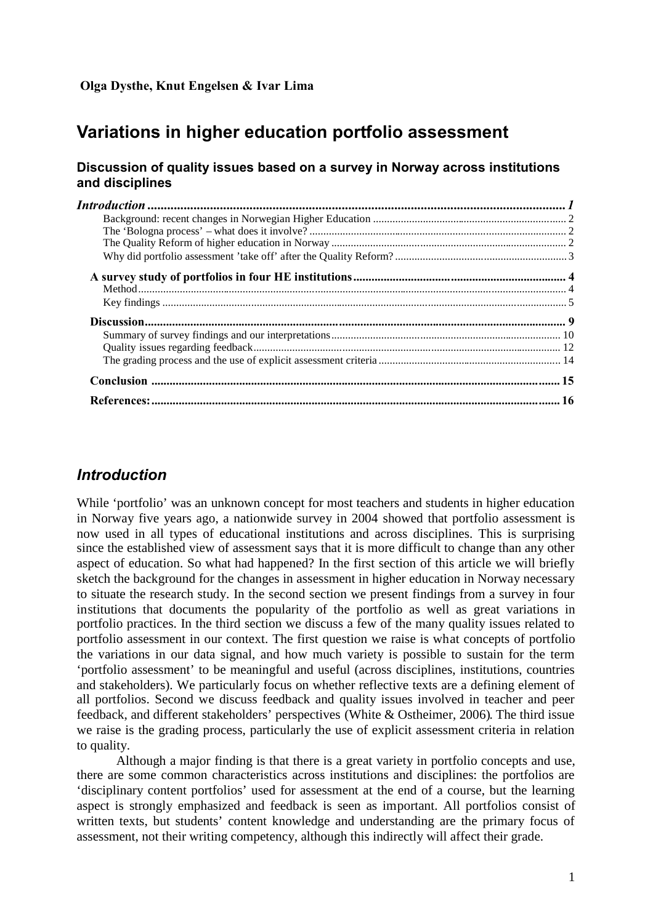# **Variations in higher education portfolio assessment**

### **Discussion of quality issues based on a survey in Norway across institutions and disciplines**

# *Introduction*

While 'portfolio' was an unknown concept for most teachers and students in higher education in Norway five years ago, a nationwide survey in 2004 showed that portfolio assessment is now used in all types of educational institutions and across disciplines. This is surprising since the established view of assessment says that it is more difficult to change than any other aspect of education. So what had happened? In the first section of this article we will briefly sketch the background for the changes in assessment in higher education in Norway necessary to situate the research study. In the second section we present findings from a survey in four institutions that documents the popularity of the portfolio as well as great variations in portfolio practices. In the third section we discuss a few of the many quality issues related to portfolio assessment in our context. The first question we raise is what concepts of portfolio the variations in our data signal, and how much variety is possible to sustain for the term 'portfolio assessment' to be meaningful and useful (across disciplines, institutions, countries and stakeholders). We particularly focus on whether reflective texts are a defining element of all portfolios. Second we discuss feedback and quality issues involved in teacher and peer feedback, and different stakeholders' perspectives (White & Ostheimer, 2006). The third issue we raise is the grading process, particularly the use of explicit assessment criteria in relation to quality.

Although a major finding is that there is a great variety in portfolio concepts and use, there are some common characteristics across institutions and disciplines: the portfolios are 'disciplinary content portfolios' used for assessment at the end of a course, but the learning aspect is strongly emphasized and feedback is seen as important. All portfolios consist of written texts, but students' content knowledge and understanding are the primary focus of assessment, not their writing competency, although this indirectly will affect their grade.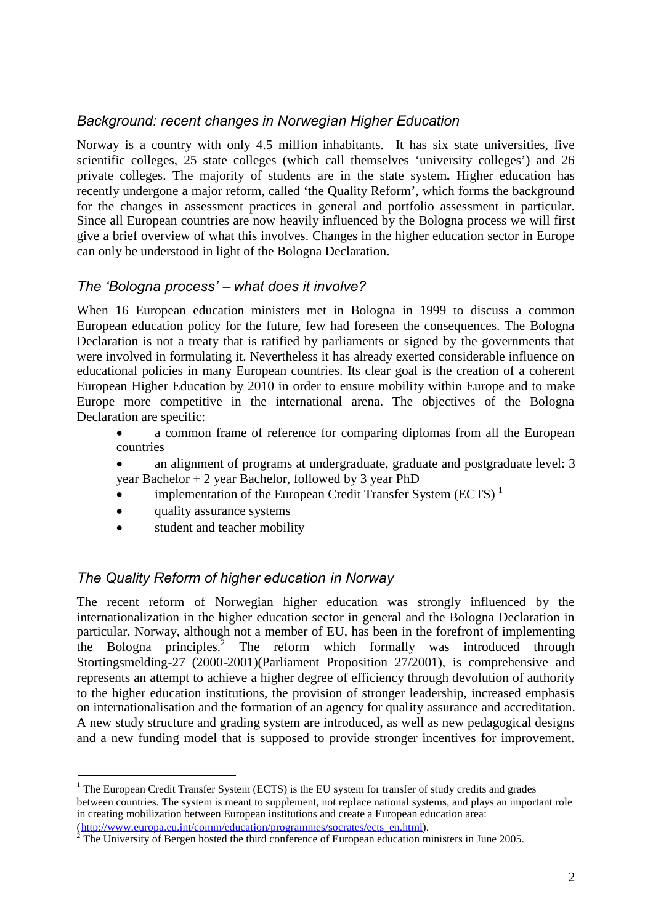## *Background: recent changes in Norwegian Higher Education*

Norway is a country with only 4.5 million inhabitants. It has six state universities, five scientific colleges, 25 state colleges (which call themselves 'university colleges') and 26 private colleges. The majority of students are in the state system**.** Higher education has recently undergone a major reform, called 'the Quality Reform', which forms the background for the changes in assessment practices in general and portfolio assessment in particular. Since all European countries are now heavily influenced by the Bologna process we will first give a brief overview of what this involves. Changes in the higher education sector in Europe can only be understood in light of the Bologna Declaration.

## *The 'Bologna process' – what does it involve?*

When 16 European education ministers met in Bologna in 1999 to discuss a common European education policy for the future, few had foreseen the consequences. The Bologna Declaration is not a treaty that is ratified by parliaments or signed by the governments that were involved in formulating it. Nevertheless it has already exerted considerable influence on educational policies in many European countries. Its clear goal is the creation of a coherent European Higher Education by 2010 in order to ensure mobility within Europe and to make Europe more competitive in the international arena. The objectives of the Bologna Declaration are specific:

 a common frame of reference for comparing diplomas from all the European countries

- an alignment of programs at undergraduate, graduate and postgraduate level: 3 year Bachelor + 2 year Bachelor, followed by 3 year PhD
- implementation of the European Credit Transfer System (ECTS)<sup>1</sup>
- quality assurance systems
- student and teacher mobility

## *The Quality Reform of higher education in Norway*

The recent reform of Norwegian higher education was strongly influenced by the internationalization in the higher education sector in general and the Bologna Declaration in particular. Norway, although not a member of EU, has been in the forefront of implementing the Bologna principles.<sup>2</sup> The reform which formally was introduced through Stortingsmelding-27 (2000-2001)(Parliament Proposition 27/2001), is comprehensive and represents an attempt to achieve a higher degree of efficiency through devolution of authority to the higher education institutions, the provision of stronger leadership, increased emphasis on internationalisation and the formation of an agency for quality assurance and accreditation. A new study structure and grading system are introduced, as well as new pedagogical designs and a new funding model that is supposed to provide stronger incentives for improvement.

<sup>&</sup>lt;sup>1</sup> The European Credit Transfer System (ECTS) is the EU system for transfer of study credits and grades between countries. The system is meant to supplement, not replace national systems, and plays an important role in creating mobilization between European institutions and create a European education area:

<sup>(</sup>http://www.europa.eu.int/comm/education/programmes/socrates/ects\_en.html).

 $2^{2}$  The University of Bergen hosted the third conference of European education ministers in June 2005.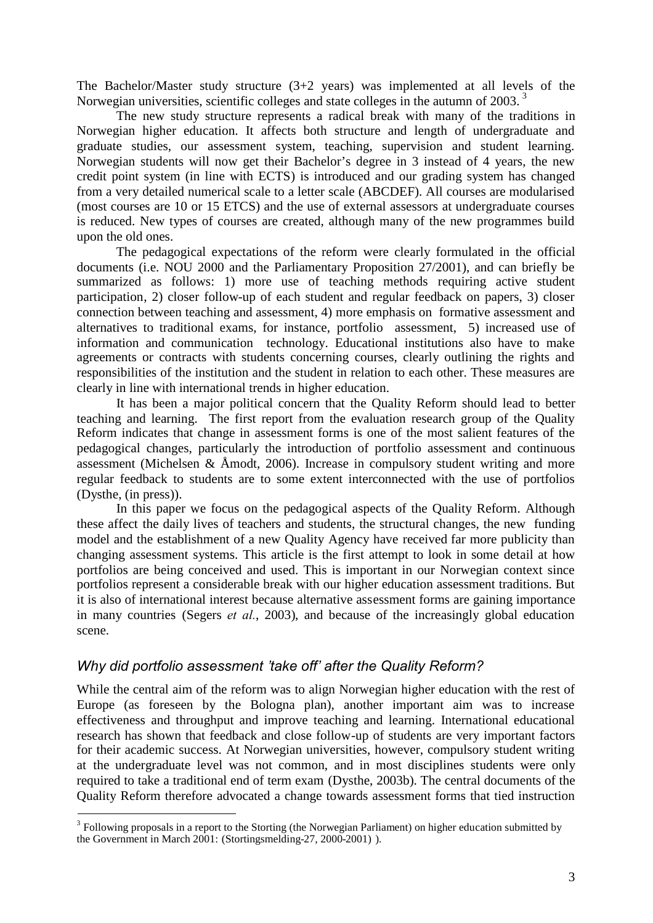The Bachelor/Master study structure (3+2 years) was implemented at all levels of the Norwegian universities, scientific colleges and state colleges in the autumn of 2003.<sup>3</sup>

The new study structure represents a radical break with many of the traditions in Norwegian higher education. It affects both structure and length of undergraduate and graduate studies, our assessment system, teaching, supervision and student learning. Norwegian students will now get their Bachelor's degree in 3 instead of 4 years, the new credit point system (in line with ECTS) is introduced and our grading system has changed from a very detailed numerical scale to a letter scale (ABCDEF). All courses are modularised (most courses are 10 or 15 ETCS) and the use of external assessors at undergraduate courses is reduced. New types of courses are created, although many of the new programmes build upon the old ones.

The pedagogical expectations of the reform were clearly formulated in the official documents (i.e. NOU 2000 and the Parliamentary Proposition 27/2001), and can briefly be summarized as follows: 1) more use of teaching methods requiring active student participation, 2) closer follow-up of each student and regular feedback on papers, 3) closer connection between teaching and assessment, 4) more emphasis on formative assessment and alternatives to traditional exams, for instance, portfolio assessment, 5) increased use of information and communication technology. Educational institutions also have to make agreements or contracts with students concerning courses, clearly outlining the rights and responsibilities of the institution and the student in relation to each other. These measures are clearly in line with international trends in higher education.

It has been a major political concern that the Quality Reform should lead to better teaching and learning. The first report from the evaluation research group of the Quality Reform indicates that change in assessment forms is one of the most salient features of the pedagogical changes, particularly the introduction of portfolio assessment and continuous assessment (Michelsen  $\&$  Åmodt, 2006). Increase in compulsory student writing and more regular feedback to students are to some extent interconnected with the use of portfolios (Dysthe, (in press)).

In this paper we focus on the pedagogical aspects of the Quality Reform. Although these affect the daily lives of teachers and students, the structural changes, the new funding model and the establishment of a new Quality Agency have received far more publicity than changing assessment systems. This article is the first attempt to look in some detail at how portfolios are being conceived and used. This is important in our Norwegian context since portfolios represent a considerable break with our higher education assessment traditions. But it is also of international interest because alternative assessment forms are gaining importance in many countries (Segers *et al.*, 2003), and because of the increasingly global education scene.

## *Why did portfolio assessment 'take off' after the Quality Reform?*

While the central aim of the reform was to align Norwegian higher education with the rest of Europe (as foreseen by the Bologna plan), another important aim was to increase effectiveness and throughput and improve teaching and learning. International educational research has shown that feedback and close follow-up of students are very important factors for their academic success. At Norwegian universities, however, compulsory student writing at the undergraduate level was not common, and in most disciplines students were only required to take a traditional end of term exam (Dysthe, 2003b). The central documents of the Quality Reform therefore advocated a change towards assessment forms that tied instruction

<sup>&</sup>lt;sup>3</sup> Following proposals in a report to the Storting (the Norwegian Parliament) on higher education submitted by the Government in March 2001: (Stortingsmelding-27, 2000-2001) ).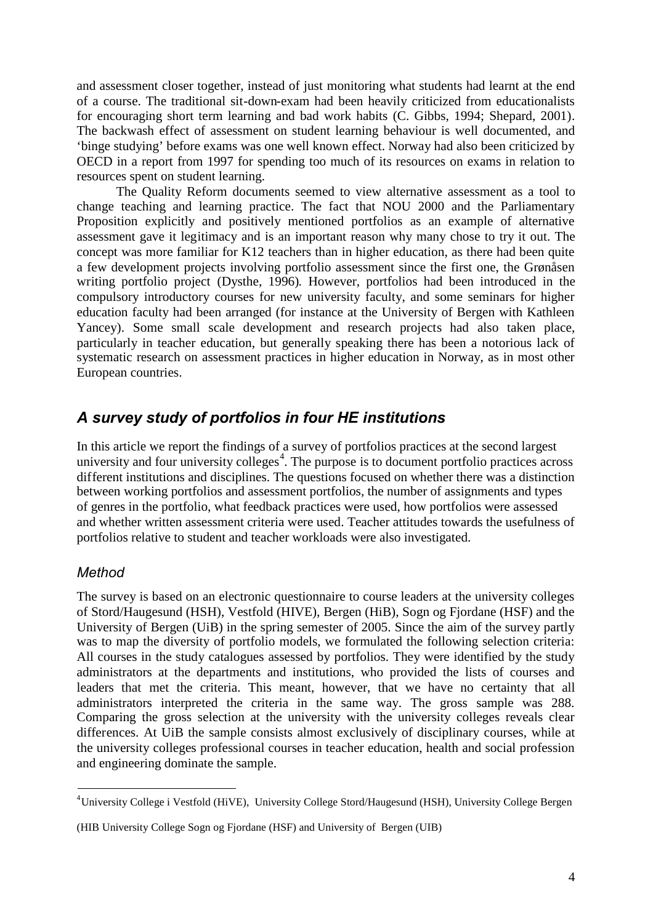and assessment closer together, instead of just monitoring what students had learnt at the end of a course. The traditional sit-down-exam had been heavily criticized from educationalists for encouraging short term learning and bad work habits (C. Gibbs, 1994; Shepard, 2001). The backwash effect of assessment on student learning behaviour is well documented, and 'binge studying' before exams was one well known effect. Norway had also been criticized by OECD in a report from 1997 for spending too much of its resources on exams in relation to resources spent on student learning.

The Quality Reform documents seemed to view alternative assessment as a tool to change teaching and learning practice. The fact that NOU 2000 and the Parliamentary Proposition explicitly and positively mentioned portfolios as an example of alternative assessment gave it legitimacy and is an important reason why many chose to try it out. The concept was more familiar for K12 teachers than in higher education, as there had been quite a few development projects involving portfolio assessment since the first one, the Grønåsen writing portfolio project (Dysthe, 1996). However, portfolios had been introduced in the compulsory introductory courses for new university faculty, and some seminars for higher education faculty had been arranged (for instance at the University of Bergen with Kathleen Yancey). Some small scale development and research projects had also taken place, particularly in teacher education, but generally speaking there has been a notorious lack of systematic research on assessment practices in higher education in Norway, as in most other European countries.

# *A survey study of portfolios in four HE institutions*

In this article we report the findings of a survey of portfolios practices at the second largest university and four university colleges<sup>4</sup>. The purpose is to document portfolio practices across different institutions and disciplines. The questions focused on whether there was a distinction between working portfolios and assessment portfolios, the number of assignments and types of genres in the portfolio, what feedback practices were used, how portfolios were assessed and whether written assessment criteria were used. Teacher attitudes towards the usefulness of portfolios relative to student and teacher workloads were also investigated.

## *Method*

The survey is based on an electronic questionnaire to course leaders at the university colleges of Stord/Haugesund (HSH), Vestfold (HIVE), Bergen (HiB), Sogn og Fjordane (HSF) and the University of Bergen (UiB) in the spring semester of 2005. Since the aim of the survey partly was to map the diversity of portfolio models, we formulated the following selection criteria: All courses in the study catalogues assessed by portfolios. They were identified by the study administrators at the departments and institutions, who provided the lists of courses and leaders that met the criteria. This meant, however, that we have no certainty that all administrators interpreted the criteria in the same way. The gross sample was 288. Comparing the gross selection at the university with the university colleges reveals clear differences. At UiB the sample consists almost exclusively of disciplinary courses, while at the university colleges professional courses in teacher education, health and social profession and engineering dominate the sample.

<sup>4</sup>University College i Vestfold (HiVE), University College Stord/Haugesund (HSH), University College Bergen

<sup>(</sup>HIB University College Sogn og Fjordane (HSF) and University of Bergen (UIB)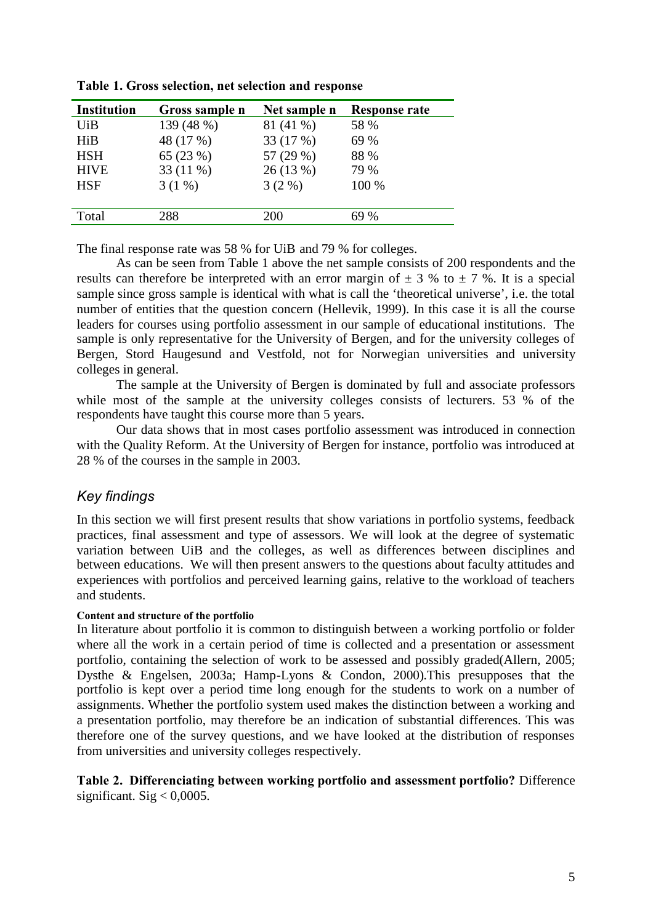| <b>Institution</b> | Gross sample n | Net sample n | <b>Response rate</b> |
|--------------------|----------------|--------------|----------------------|
| UiB                | 139 (48 %)     | 81 (41 %)    | 58 %                 |
| HiB                | 48 (17 %)      | 33 (17 %)    | 69 %                 |
| <b>HSH</b>         | 65 $(23%)$     | 57 (29 %)    | 88 %                 |
| <b>HIVE</b>        | $33(11\%)$     | 26(13%)      | 79 %                 |
| <b>HSF</b>         | $3(1\%)$       | $3(2\%)$     | 100 %                |
|                    |                |              |                      |
| Total              | 288            | 200          | 69 %                 |
|                    |                |              |                      |

**Table 1. Gross selection, net selection and response**

The final response rate was 58 % for UiB and 79 % for colleges.

As can be seen from Table 1 above the net sample consists of 200 respondents and the results can therefore be interpreted with an error margin of  $\pm$  3 % to  $\pm$  7 %. It is a special sample since gross sample is identical with what is call the 'theoretical universe', i.e. the total number of entities that the question concern (Hellevik, 1999). In this case it is all the course leaders for courses using portfolio assessment in our sample of educational institutions. The sample is only representative for the University of Bergen, and for the university colleges of Bergen, Stord Haugesund and Vestfold, not for Norwegian universities and university colleges in general.

The sample at the University of Bergen is dominated by full and associate professors while most of the sample at the university colleges consists of lecturers. 53 % of the respondents have taught this course more than 5 years.

Our data shows that in most cases portfolio assessment was introduced in connection with the Quality Reform. At the University of Bergen for instance, portfolio was introduced at 28 % of the courses in the sample in 2003.

## *Key findings*

In this section we will first present results that show variations in portfolio systems, feedback practices, final assessment and type of assessors. We will look at the degree of systematic variation between UiB and the colleges, as well as differences between disciplines and between educations. We will then present answers to the questions about faculty attitudes and experiences with portfolios and perceived learning gains, relative to the workload of teachers and students.

### **Content and structure of the portfolio**

In literature about portfolio it is common to distinguish between a working portfolio or folder where all the work in a certain period of time is collected and a presentation or assessment portfolio, containing the selection of work to be assessed and possibly graded(Allern, 2005; Dysthe & Engelsen, 2003a; Hamp-Lyons & Condon, 2000).This presupposes that the portfolio is kept over a period time long enough for the students to work on a number of assignments. Whether the portfolio system used makes the distinction between a working and a presentation portfolio, may therefore be an indication of substantial differences. This was therefore one of the survey questions, and we have looked at the distribution of responses from universities and university colleges respectively.

### **Table 2. Differenciating between working portfolio and assessment portfolio?** Difference significant. Sig  $< 0,0005$ .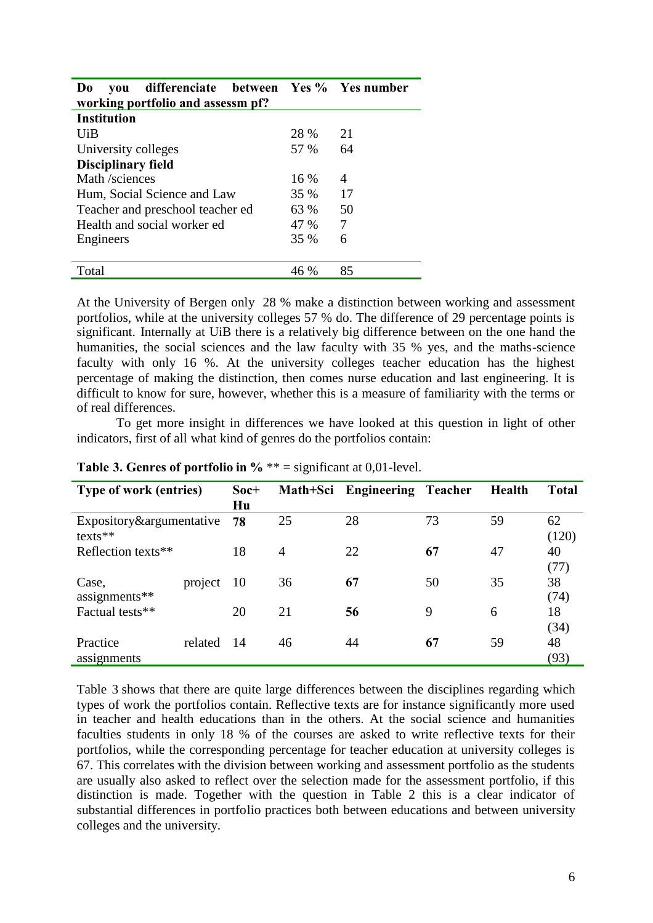| differenciate between Yes % Yes number<br>Do<br>vou |      |    |  |  |  |  |  |  |  |  |  |
|-----------------------------------------------------|------|----|--|--|--|--|--|--|--|--|--|
| working portfolio and assessm pf?                   |      |    |  |  |  |  |  |  |  |  |  |
| <b>Institution</b>                                  |      |    |  |  |  |  |  |  |  |  |  |
| UiB                                                 | 28 % | 21 |  |  |  |  |  |  |  |  |  |
| University colleges                                 | 57 % | 64 |  |  |  |  |  |  |  |  |  |
| <b>Disciplinary field</b>                           |      |    |  |  |  |  |  |  |  |  |  |
| Math /sciences                                      | 16 % | 4  |  |  |  |  |  |  |  |  |  |
| Hum, Social Science and Law                         | 35 % | 17 |  |  |  |  |  |  |  |  |  |
| Teacher and preschool teacher ed                    | 63 % | 50 |  |  |  |  |  |  |  |  |  |
| Health and social worker ed                         | 47 % | 7  |  |  |  |  |  |  |  |  |  |
| Engineers                                           | 35 % | 6  |  |  |  |  |  |  |  |  |  |
|                                                     |      |    |  |  |  |  |  |  |  |  |  |
| Total                                               | 46 % | 85 |  |  |  |  |  |  |  |  |  |

At the University of Bergen only 28 % make a distinction between working and assessment portfolios, while at the university colleges 57 % do. The difference of 29 percentage points is significant. Internally at UiB there is a relatively big difference between on the one hand the humanities, the social sciences and the law faculty with 35 % yes, and the maths-science faculty with only 16 %. At the university colleges teacher education has the highest percentage of making the distinction, then comes nurse education and last engineering. It is difficult to know for sure, however, whether this is a measure of familiarity with the terms or of real differences.

To get more insight in differences we have looked at this question in light of other indicators, first of all what kind of genres do the portfolios contain:

| <b>Type of work (entries)</b>         |         | Soc+<br>Hu     |    | Math+Sci Engineering Teacher |    | <b>Health</b> | <b>Total</b> |
|---------------------------------------|---------|----------------|----|------------------------------|----|---------------|--------------|
| Expository&argumentative<br>$texts**$ |         | 78             | 25 | 28                           | 73 | 59            | 62<br>(120)  |
| Reflection texts**                    | 18      | $\overline{4}$ | 22 | 67                           | 47 | 40<br>(77)    |              |
| Case,<br>assignments**                | project | 10             | 36 | 67                           | 50 | 35            | 38<br>(74)   |
| Factual tests**                       |         | 20             | 21 | 56                           | 9  | 6             | 18<br>(34)   |
| Practice<br>assignments               | related | 14             | 46 | 44                           | 67 | 59            | 48<br>(93)   |

**Table 3. Genres of portfolio in %** \*\* = significant at 0,01-level.

Table 3 shows that there are quite large differences between the disciplines regarding which types of work the portfolios contain. Reflective texts are for instance significantly more used in teacher and health educations than in the others. At the social science and humanities faculties students in only 18 % of the courses are asked to write reflective texts for their portfolios, while the corresponding percentage for teacher education at university colleges is 67. This correlates with the division between working and assessment portfolio as the students are usually also asked to reflect over the selection made for the assessment portfolio, if this distinction is made. Together with the question in Table 2 this is a clear indicator of substantial differences in portfolio practices both between educations and between university colleges and the university.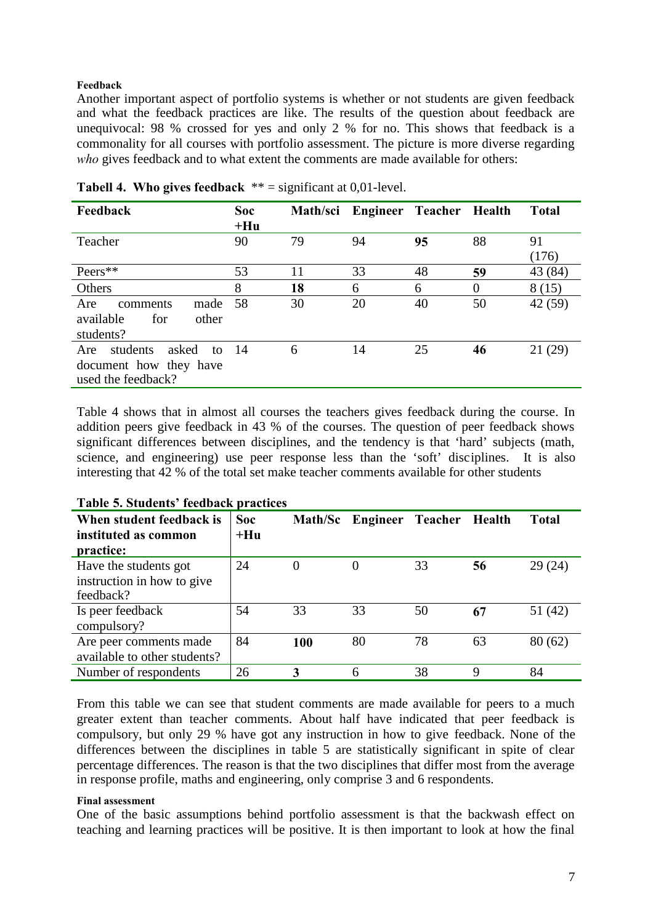#### **Feedback**

Another important aspect of portfolio systems is whether or not students are given feedback and what the feedback practices are like. The results of the question about feedback are unequivocal: 98 % crossed for yes and only 2 % for no. This shows that feedback is a commonality for all courses with portfolio assessment. The picture is more diverse regarding *who* gives feedback and to what extent the comments are made available for others:

| Feedback                            | <b>Soc</b> | Math/sci | Engineer Teacher Health |    |          | <b>Total</b> |
|-------------------------------------|------------|----------|-------------------------|----|----------|--------------|
|                                     | $+Hu$      |          |                         |    |          |              |
| Teacher                             | 90         | 79       | 94                      | 95 | 88       | 91           |
|                                     |            |          |                         |    |          | (176)        |
| Peers**                             | 53         | 11       | 33                      | 48 | 59       | 43 (84)      |
| Others                              | 8          | 18       | 6                       | 6  | $\Omega$ | 8(15)        |
| made<br>Are<br>comments             | - 58       | 30       | 20                      | 40 | 50       | 42 (59)      |
| other<br>available<br>for           |            |          |                         |    |          |              |
| students?                           |            |          |                         |    |          |              |
| students<br>asked<br>to $14$<br>Are |            | 6        | 14                      | 25 | 46       | 21 (29)      |
| document how they have              |            |          |                         |    |          |              |
| used the feedback?                  |            |          |                         |    |          |              |

**Tabell 4. Who gives feedback** \*\* = significant at 0,01-level.

Table 4 shows that in almost all courses the teachers gives feedback during the course. In addition peers give feedback in 43 % of the courses. The question of peer feedback shows significant differences between disciplines, and the tendency is that 'hard' subjects (math, science, and engineering) use peer response less than the 'soft' disciplines. It is also interesting that 42 % of the total set make teacher comments available for other students

| When student feedback is<br>instituted as common<br>practice:    | <b>Soc</b><br>$+Hu$ |          | Math/Sc Engineer | Teacher Health |    | <b>Total</b> |
|------------------------------------------------------------------|---------------------|----------|------------------|----------------|----|--------------|
| Have the students got<br>instruction in how to give<br>feedback? | 24                  | $\Omega$ | 0                | 33             | 56 | 29(24)       |
| Is peer feedback<br>compulsory?                                  | 54                  | 33       | 33               | 50             | 67 | 51 (42)      |
| Are peer comments made<br>available to other students?           | 84                  | 100      | 80               | 78             | 63 | 80(62)       |
| Number of respondents                                            | 26                  | 3        | 6                | 38             | Q  | 84           |

### **Table 5. Students' feedback practices**

From this table we can see that student comments are made available for peers to a much greater extent than teacher comments. About half have indicated that peer feedback is compulsory, but only 29 % have got any instruction in how to give feedback. None of the differences between the disciplines in table 5 are statistically significant in spite of clear percentage differences. The reason is that the two disciplines that differ most from the average in response profile, maths and engineering, only comprise 3 and 6 respondents.

#### **Final assessment**

One of the basic assumptions behind portfolio assessment is that the backwash effect on teaching and learning practices will be positive. It is then important to look at how the final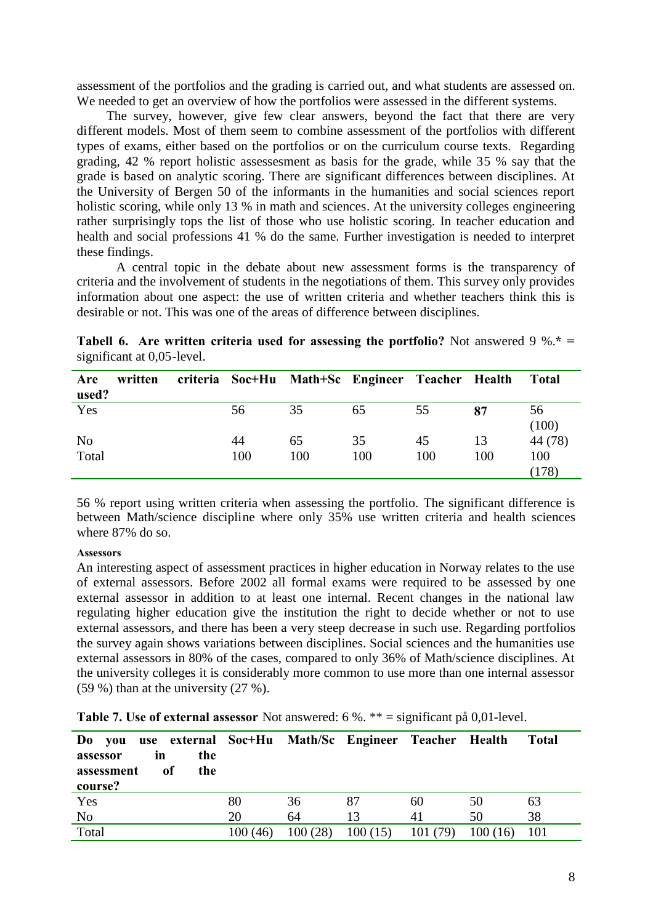assessment of the portfolios and the grading is carried out, and what students are assessed on. We needed to get an overview of how the portfolios were assessed in the different systems.

The survey, however, give few clear answers, beyond the fact that there are very different models. Most of them seem to combine assessment of the portfolios with different types of exams, either based on the portfolios or on the curriculum course texts. Regarding grading, 42 % report holistic assessesment as basis for the grade, while 35 % say that the grade is based on analytic scoring. There are significant differences between disciplines. At the University of Bergen 50 of the informants in the humanities and social sciences report holistic scoring, while only 13 % in math and sciences. At the university colleges engineering rather surprisingly tops the list of those who use holistic scoring. In teacher education and health and social professions 41 % do the same. Further investigation is needed to interpret these findings.

A central topic in the debate about new assessment forms is the transparency of criteria and the involvement of students in the negotiations of them. This survey only provides information about one aspect: the use of written criteria and whether teachers think this is desirable or not. This was one of the areas of difference between disciplines.

|                            |  |  |  | <b>Tabell 6.</b> Are written criteria used for assessing the portfolio? Not answered 9 %.* = |  |
|----------------------------|--|--|--|----------------------------------------------------------------------------------------------|--|
| significant at 0,05-level. |  |  |  |                                                                                              |  |

| Are<br>used?            | written |           |           | criteria Soc+Hu Math+Sc Engineer Teacher Health |           |           | <b>Total</b>            |
|-------------------------|---------|-----------|-----------|-------------------------------------------------|-----------|-----------|-------------------------|
| Yes                     |         | 56        | 35        | 65                                              | 55        | 87        | 56<br>(100)             |
| N <sub>o</sub><br>Total |         | 44<br>100 | 65<br>100 | 35<br>100                                       | 45<br>100 | 13<br>100 | 44 (78)<br>100<br>(178) |

56 % report using written criteria when assessing the portfolio. The significant difference is between Math/science discipline where only 35% use written criteria and health sciences where 87% do so.

#### **Assessors**

An interesting aspect of assessment practices in higher education in Norway relates to the use of external assessors. Before 2002 all formal exams were required to be assessed by one external assessor in addition to at least one internal. Recent changes in the national law regulating higher education give the institution the right to decide whether or not to use external assessors, and there has been a very steep decrease in such use. Regarding portfolios the survey again shows variations between disciplines. Social sciences and the humanities use external assessors in 80% of the cases, compared to only 36% of Math/science disciplines. At the university colleges it is considerably more common to use more than one internal assessor (59 %) than at the university (27 %).

| Do you<br>assessor<br>assessment<br>course? | ın<br>0f | the<br>the |         |         | use external Soc+Hu Math/Sc Engineer Teacher Health |          |         | <b>Total</b> |
|---------------------------------------------|----------|------------|---------|---------|-----------------------------------------------------|----------|---------|--------------|
| Yes                                         |          |            | 80      | 36      | 87                                                  | 60       | 50      | 63           |
| N <sub>o</sub>                              |          |            | 20      | 64      | 13                                                  | 41       | 50      | 38           |
| Total                                       |          |            | 100(46) | 100(28) | 100(15)                                             | 101 (79) | 100(16) | 101          |

**Table 7. Use of external assessor** Not answered: 6 %. \*\* = significant på 0,01-level.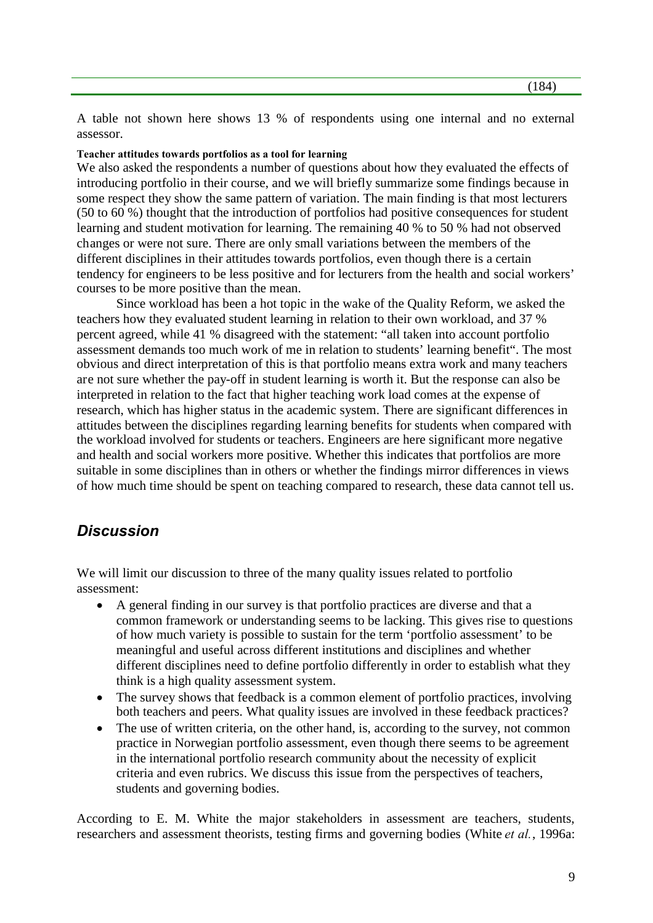A table not shown here shows 13 % of respondents using one internal and no external assessor.

#### **Teacher attitudes towards portfolios as a tool for learning**

We also asked the respondents a number of questions about how they evaluated the effects of introducing portfolio in their course, and we will briefly summarize some findings because in some respect they show the same pattern of variation. The main finding is that most lecturers (50 to 60 %) thought that the introduction of portfolios had positive consequences for student learning and student motivation for learning. The remaining 40 % to 50 % had not observed changes or were not sure. There are only small variations between the members of the different disciplines in their attitudes towards portfolios, even though there is a certain tendency for engineers to be less positive and for lecturers from the health and social workers' courses to be more positive than the mean.

Since workload has been a hot topic in the wake of the Quality Reform, we asked the teachers how they evaluated student learning in relation to their own workload, and 37 % percent agreed, while 41 % disagreed with the statement: "all taken into account portfolio assessment demands too much work of me in relation to students' learning benefit". The most obvious and direct interpretation of this is that portfolio means extra work and many teachers are not sure whether the pay-off in student learning is worth it. But the response can also be interpreted in relation to the fact that higher teaching work load comes at the expense of research, which has higher status in the academic system. There are significant differences in attitudes between the disciplines regarding learning benefits for students when compared with the workload involved for students or teachers. Engineers are here significant more negative and health and social workers more positive. Whether this indicates that portfolios are more suitable in some disciplines than in others or whether the findings mirror differences in views of how much time should be spent on teaching compared to research, these data cannot tell us.

## *Discussion*

We will limit our discussion to three of the many quality issues related to portfolio assessment:

- A general finding in our survey is that portfolio practices are diverse and that a common framework or understanding seems to be lacking. This gives rise to questions of how much variety is possible to sustain for the term 'portfolio assessment' to be meaningful and useful across different institutions and disciplines and whether different disciplines need to define portfolio differently in order to establish what they think is a high quality assessment system.
- The survey shows that feedback is a common element of portfolio practices, involving both teachers and peers. What quality issues are involved in these feedback practices?
- The use of written criteria, on the other hand, is, according to the survey, not common practice in Norwegian portfolio assessment, even though there seems to be agreement in the international portfolio research community about the necessity of explicit criteria and even rubrics. We discuss this issue from the perspectives of teachers, students and governing bodies.

According to E. M. White the major stakeholders in assessment are teachers, students, researchers and assessment theorists, testing firms and governing bodies (White *et al.*, 1996a: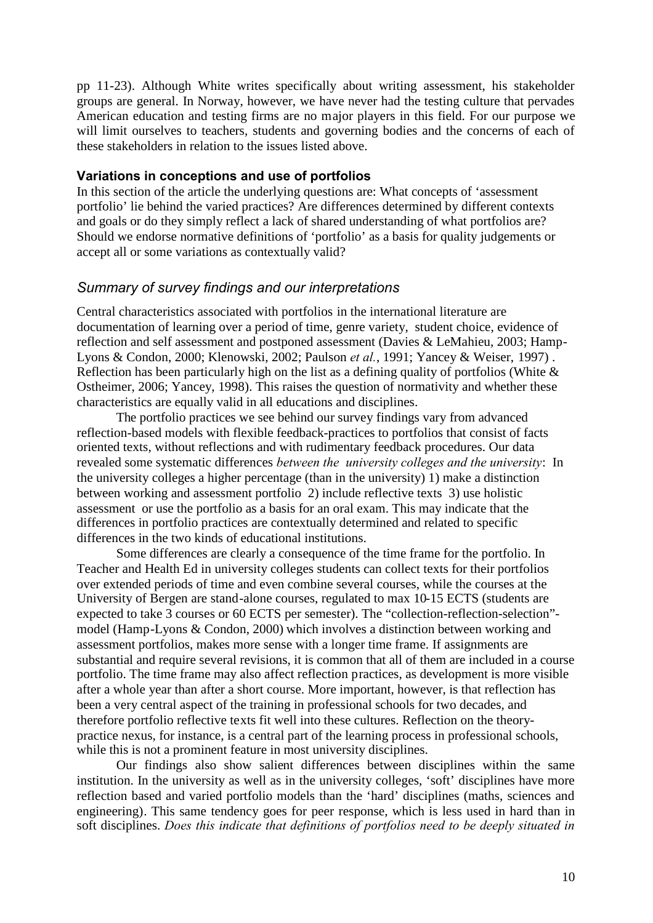pp 11-23). Although White writes specifically about writing assessment, his stakeholder groups are general. In Norway, however, we have never had the testing culture that pervades American education and testing firms are no major players in this field. For our purpose we will limit ourselves to teachers, students and governing bodies and the concerns of each of these stakeholders in relation to the issues listed above.

### **Variations in conceptions and use of portfolios**

In this section of the article the underlying questions are: What concepts of 'assessment portfolio' lie behind the varied practices? Are differences determined by different contexts and goals or do they simply reflect a lack of shared understanding of what portfolios are? Should we endorse normative definitions of 'portfolio' as a basis for quality judgements or accept all or some variations as contextually valid?

### *Summary of survey findings and our interpretations*

Central characteristics associated with portfolios in the international literature are documentation of learning over a period of time, genre variety, student choice, evidence of reflection and self assessment and postponed assessment (Davies & LeMahieu, 2003; Hamp-Lyons & Condon, 2000; Klenowski, 2002; Paulson *et al.*, 1991; Yancey & Weiser, 1997) . Reflection has been particularly high on the list as a defining quality of portfolios (White  $\&$ Ostheimer, 2006; Yancey, 1998). This raises the question of normativity and whether these characteristics are equally valid in all educations and disciplines.

The portfolio practices we see behind our survey findings vary from advanced reflection-based models with flexible feedback-practices to portfolios that consist of facts oriented texts, without reflections and with rudimentary feedback procedures. Our data revealed some systematic differences *between the university colleges and the university*: In the university colleges a higher percentage (than in the university) 1) make a distinction between working and assessment portfolio 2) include reflective texts 3) use holistic assessment or use the portfolio as a basis for an oral exam. This may indicate that the differences in portfolio practices are contextually determined and related to specific differences in the two kinds of educational institutions.

Some differences are clearly a consequence of the time frame for the portfolio. In Teacher and Health Ed in university colleges students can collect texts for their portfolios over extended periods of time and even combine several courses, while the courses at the University of Bergen are stand-alone courses, regulated to max 10-15 ECTS (students are expected to take 3 courses or 60 ECTS per semester). The "collection-reflection-selection" model (Hamp-Lyons & Condon, 2000) which involves a distinction between working and assessment portfolios, makes more sense with a longer time frame. If assignments are substantial and require several revisions, it is common that all of them are included in a course portfolio. The time frame may also affect reflection practices, as development is more visible after a whole year than after a short course. More important, however, is that reflection has been a very central aspect of the training in professional schools for two decades, and therefore portfolio reflective texts fit well into these cultures. Reflection on the theorypractice nexus, for instance, is a central part of the learning process in professional schools, while this is not a prominent feature in most university disciplines.

Our findings also show salient differences between disciplines within the same institution. In the university as well as in the university colleges, 'soft' disciplines have more reflection based and varied portfolio models than the 'hard' disciplines (maths, sciences and engineering). This same tendency goes for peer response, which is less used in hard than in soft disciplines. *Does this indicate that definitions of portfolios need to be deeply situated in*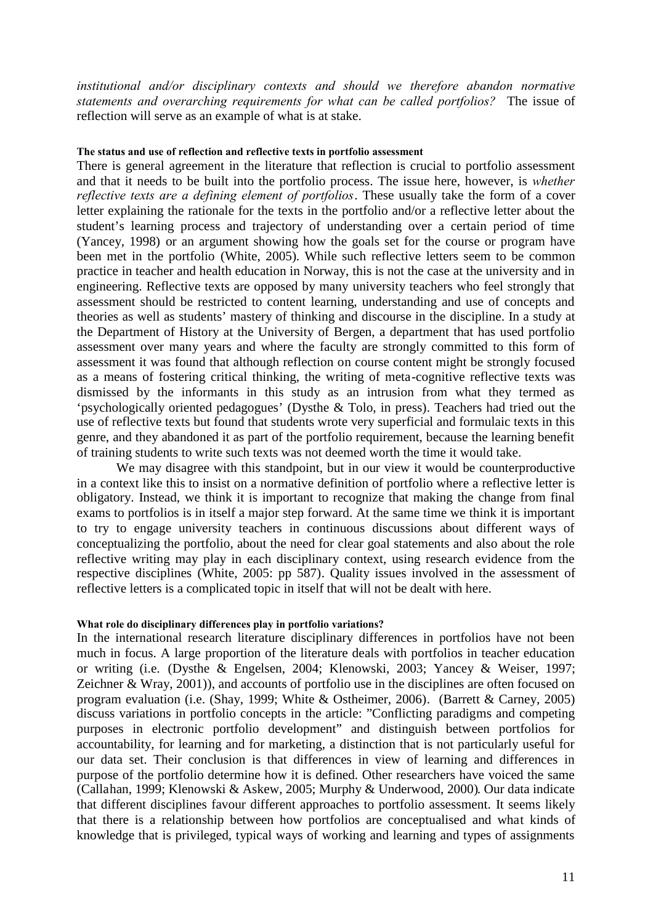*institutional and/or disciplinary contexts and should we therefore abandon normative statements and overarching requirements for what can be called portfolios?* The issue of reflection will serve as an example of what is at stake.

#### **The status and use of reflection and reflective texts in portfolio assessment**

There is general agreement in the literature that reflection is crucial to portfolio assessment and that it needs to be built into the portfolio process. The issue here, however, is *whether reflective texts are a defining element of portfolios*. These usually take the form of a cover letter explaining the rationale for the texts in the portfolio and/or a reflective letter about the student's learning process and trajectory of understanding over a certain period of time (Yancey, 1998) or an argument showing how the goals set for the course or program have been met in the portfolio (White, 2005). While such reflective letters seem to be common practice in teacher and health education in Norway, this is not the case at the university and in engineering. Reflective texts are opposed by many university teachers who feel strongly that assessment should be restricted to content learning, understanding and use of concepts and theories as well as students' mastery of thinking and discourse in the discipline. In a study at the Department of History at the University of Bergen, a department that has used portfolio assessment over many years and where the faculty are strongly committed to this form of assessment it was found that although reflection on course content might be strongly focused as a means of fostering critical thinking, the writing of meta-cognitive reflective texts was dismissed by the informants in this study as an intrusion from what they termed as 'psychologically oriented pedagogues' (Dysthe & Tolo, in press). Teachers had tried out the use of reflective texts but found that students wrote very superficial and formulaic texts in this genre, and they abandoned it as part of the portfolio requirement, because the learning benefit of training students to write such texts was not deemed worth the time it would take.

We may disagree with this standpoint, but in our view it would be counterproductive in a context like this to insist on a normative definition of portfolio where a reflective letter is obligatory. Instead, we think it is important to recognize that making the change from final exams to portfolios is in itself a major step forward. At the same time we think it is important to try to engage university teachers in continuous discussions about different ways of conceptualizing the portfolio, about the need for clear goal statements and also about the role reflective writing may play in each disciplinary context, using research evidence from the respective disciplines (White, 2005: pp 587). Quality issues involved in the assessment of reflective letters is a complicated topic in itself that will not be dealt with here.

#### **What role do disciplinary differences play in portfolio variations?**

In the international research literature disciplinary differences in portfolios have not been much in focus. A large proportion of the literature deals with portfolios in teacher education or writing (i.e. (Dysthe & Engelsen, 2004; Klenowski, 2003; Yancey & Weiser, 1997; Zeichner & Wray, 2001)), and accounts of portfolio use in the disciplines are often focused on program evaluation (i.e. (Shay, 1999; White & Ostheimer, 2006). (Barrett & Carney, 2005) discuss variations in portfolio concepts in the article: "Conflicting paradigms and competing purposes in electronic portfolio development" and distinguish between portfolios for accountability, for learning and for marketing, a distinction that is not particularly useful for our data set. Their conclusion is that differences in view of learning and differences in purpose of the portfolio determine how it is defined. Other researchers have voiced the same (Callahan, 1999; Klenowski & Askew, 2005; Murphy & Underwood, 2000). Our data indicate that different disciplines favour different approaches to portfolio assessment. It seems likely that there is a relationship between how portfolios are conceptualised and what kinds of knowledge that is privileged, typical ways of working and learning and types of assignments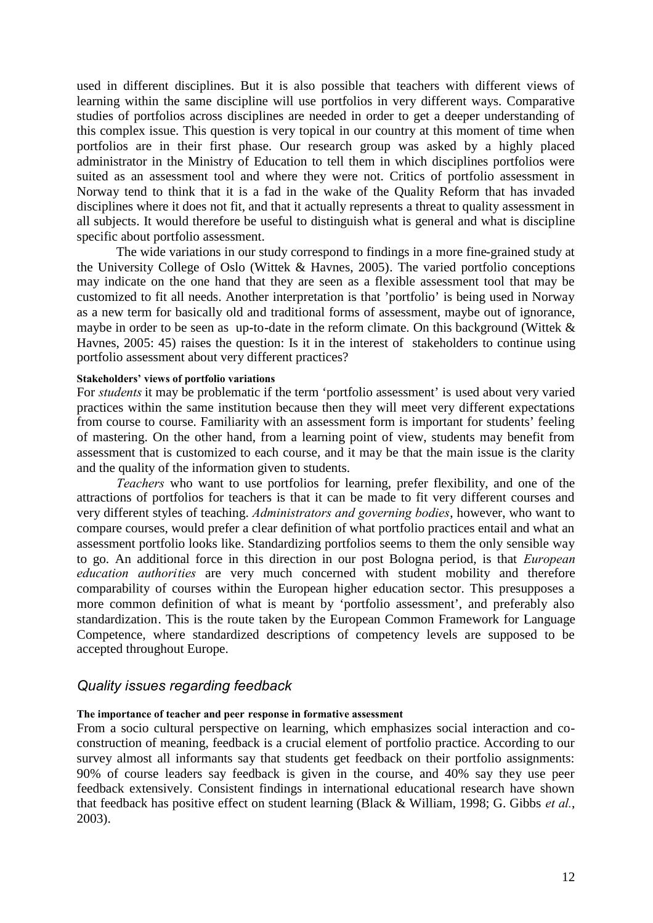used in different disciplines. But it is also possible that teachers with different views of learning within the same discipline will use portfolios in very different ways. Comparative studies of portfolios across disciplines are needed in order to get a deeper understanding of this complex issue. This question is very topical in our country at this moment of time when portfolios are in their first phase. Our research group was asked by a highly placed administrator in the Ministry of Education to tell them in which disciplines portfolios were suited as an assessment tool and where they were not. Critics of portfolio assessment in Norway tend to think that it is a fad in the wake of the Quality Reform that has invaded disciplines where it does not fit, and that it actually represents a threat to quality assessment in all subjects. It would therefore be useful to distinguish what is general and what is discipline specific about portfolio assessment.

The wide variations in our study correspond to findings in a more fine-grained study at the University College of Oslo (Wittek & Havnes, 2005). The varied portfolio conceptions may indicate on the one hand that they are seen as a flexible assessment tool that may be customized to fit all needs. Another interpretation is that 'portfolio' is being used in Norway as a new term for basically old and traditional forms of assessment, maybe out of ignorance, maybe in order to be seen as up-to-date in the reform climate. On this background (Wittek & Havnes, 2005: 45) raises the question: Is it in the interest of stakeholders to continue using portfolio assessment about very different practices?

#### **Stakeholders' views of portfolio variations**

For *students* it may be problematic if the term 'portfolio assessment' is used about very varied practices within the same institution because then they will meet very different expectations from course to course. Familiarity with an assessment form is important for students' feeling of mastering. On the other hand, from a learning point of view, students may benefit from assessment that is customized to each course, and it may be that the main issue is the clarity and the quality of the information given to students.

*Teachers* who want to use portfolios for learning, prefer flexibility, and one of the attractions of portfolios for teachers is that it can be made to fit very different courses and very different styles of teaching. *Administrators and governing bodies*, however, who want to compare courses, would prefer a clear definition of what portfolio practices entail and what an assessment portfolio looks like. Standardizing portfolios seems to them the only sensible way to go. An additional force in this direction in our post Bologna period, is that *European education authorities* are very much concerned with student mobility and therefore comparability of courses within the European higher education sector. This presupposes a more common definition of what is meant by 'portfolio assessment', and preferably also standardization. This is the route taken by the European Common Framework for Language Competence, where standardized descriptions of competency levels are supposed to be accepted throughout Europe.

### *Quality issues regarding feedback*

#### **The importance of teacher and peer response in formative assessment**

From a socio cultural perspective on learning, which emphasizes social interaction and coconstruction of meaning, feedback is a crucial element of portfolio practice. According to our survey almost all informants say that students get feedback on their portfolio assignments: 90% of course leaders say feedback is given in the course, and 40% say they use peer feedback extensively. Consistent findings in international educational research have shown that feedback has positive effect on student learning (Black & William, 1998; G. Gibbs *et al.*, 2003).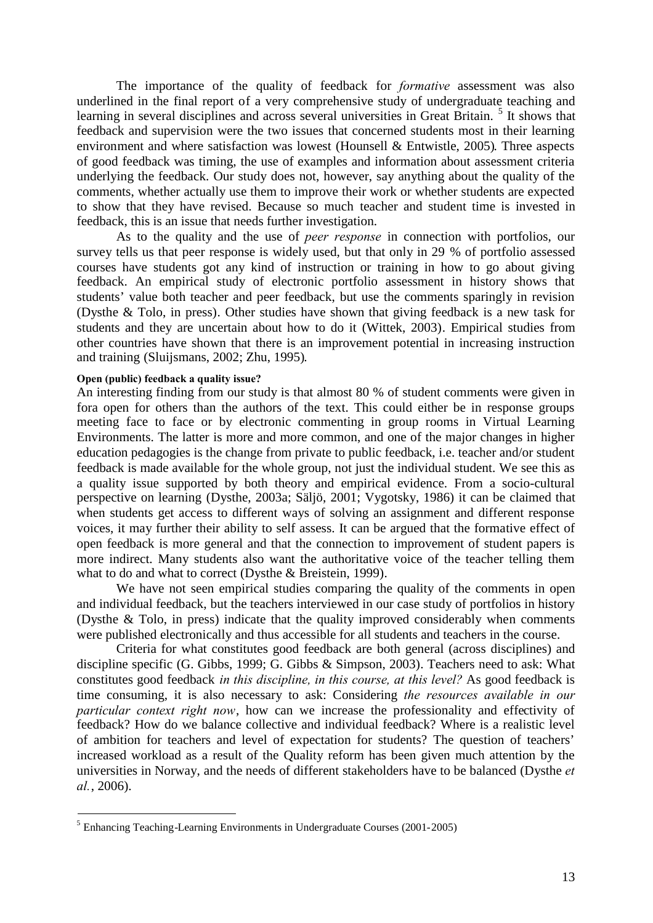The importance of the quality of feedback for *formative* assessment was also underlined in the final report of a very comprehensive study of undergraduate teaching and learning in several disciplines and across several universities in Great Britain.<sup>5</sup> It shows that feedback and supervision were the two issues that concerned students most in their learning environment and where satisfaction was lowest (Hounsell & Entwistle, 2005). Three aspects of good feedback was timing, the use of examples and information about assessment criteria underlying the feedback. Our study does not, however, say anything about the quality of the comments, whether actually use them to improve their work or whether students are expected to show that they have revised. Because so much teacher and student time is invested in feedback, this is an issue that needs further investigation.

As to the quality and the use of *peer response* in connection with portfolios, our survey tells us that peer response is widely used, but that only in 29 % of portfolio assessed courses have students got any kind of instruction or training in how to go about giving feedback. An empirical study of electronic portfolio assessment in history shows that students' value both teacher and peer feedback, but use the comments sparingly in revision (Dysthe & Tolo, in press). Other studies have shown that giving feedback is a new task for students and they are uncertain about how to do it (Wittek, 2003). Empirical studies from other countries have shown that there is an improvement potential in increasing instruction and training (Sluijsmans, 2002; Zhu, 1995).

#### **Open (public) feedback a quality issue?**

An interesting finding from our study is that almost 80 % of student comments were given in fora open for others than the authors of the text. This could either be in response groups meeting face to face or by electronic commenting in group rooms in Virtual Learning Environments. The latter is more and more common, and one of the major changes in higher education pedagogies is the change from private to public feedback, i.e. teacher and/or student feedback is made available for the whole group, not just the individual student. We see this as a quality issue supported by both theory and empirical evidence. From a socio-cultural perspective on learning (Dysthe, 2003a; Säljö, 2001; Vygotsky, 1986) it can be claimed that when students get access to different ways of solving an assignment and different response voices, it may further their ability to self assess. It can be argued that the formative effect of open feedback is more general and that the connection to improvement of student papers is more indirect. Many students also want the authoritative voice of the teacher telling them what to do and what to correct (Dysthe & Breistein, 1999).

We have not seen empirical studies comparing the quality of the comments in open and individual feedback, but the teachers interviewed in our case study of portfolios in history (Dysthe & Tolo, in press) indicate that the quality improved considerably when comments were published electronically and thus accessible for all students and teachers in the course.

Criteria for what constitutes good feedback are both general (across disciplines) and discipline specific (G. Gibbs, 1999; G. Gibbs & Simpson, 2003). Teachers need to ask: What constitutes good feedback *in this discipline, in this course, at this level?* As good feedback is time consuming, it is also necessary to ask: Considering *the resources available in our particular context right now*, how can we increase the professionality and effectivity of feedback? How do we balance collective and individual feedback? Where is a realistic level of ambition for teachers and level of expectation for students? The question of teachers' increased workload as a result of the Quality reform has been given much attention by the universities in Norway, and the needs of different stakeholders have to be balanced (Dysthe *et al.*, 2006).

<sup>&</sup>lt;sup>5</sup> Enhancing Teaching-Learning Environments in Undergraduate Courses (2001-2005)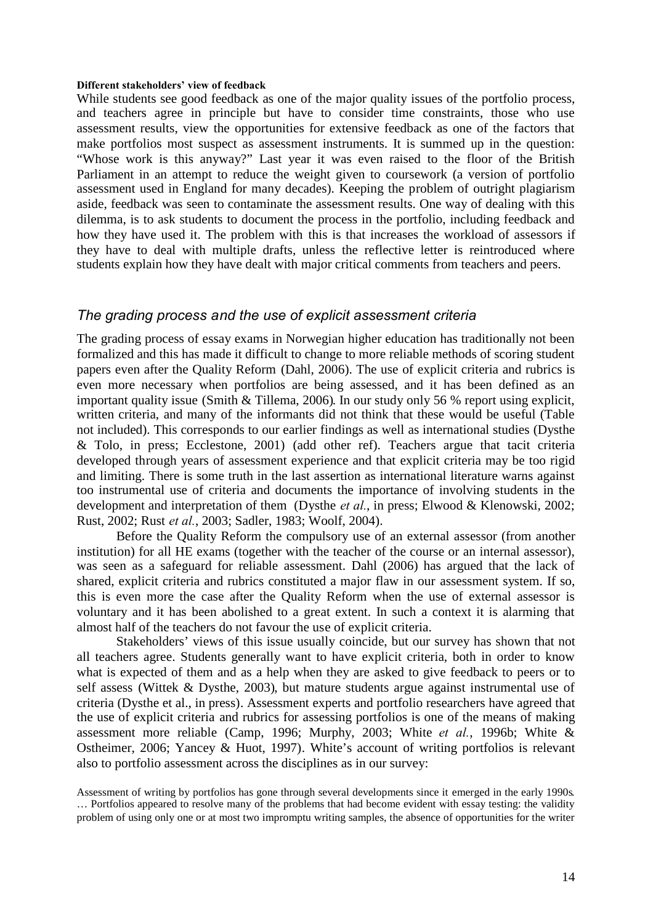#### **Different stakeholders' view of feedback**

While students see good feedback as one of the major quality issues of the portfolio process, and teachers agree in principle but have to consider time constraints, those who use assessment results, view the opportunities for extensive feedback as one of the factors that make portfolios most suspect as assessment instruments. It is summed up in the question: "Whose work is this anyway?" Last year it was even raised to the floor of the British Parliament in an attempt to reduce the weight given to coursework (a version of portfolio assessment used in England for many decades). Keeping the problem of outright plagiarism aside, feedback was seen to contaminate the assessment results. One way of dealing with this dilemma, is to ask students to document the process in the portfolio, including feedback and how they have used it. The problem with this is that increases the workload of assessors if they have to deal with multiple drafts, unless the reflective letter is reintroduced where students explain how they have dealt with major critical comments from teachers and peers.

### *The grading process and the use of explicit assessment criteria*

The grading process of essay exams in Norwegian higher education has traditionally not been formalized and this has made it difficult to change to more reliable methods of scoring student papers even after the Quality Reform (Dahl, 2006). The use of explicit criteria and rubrics is even more necessary when portfolios are being assessed, and it has been defined as an important quality issue (Smith & Tillema, 2006). In our study only 56 % report using explicit, written criteria, and many of the informants did not think that these would be useful (Table not included). This corresponds to our earlier findings as well as international studies (Dysthe & Tolo, in press; Ecclestone, 2001) (add other ref). Teachers argue that tacit criteria developed through years of assessment experience and that explicit criteria may be too rigid and limiting. There is some truth in the last assertion as international literature warns against too instrumental use of criteria and documents the importance of involving students in the development and interpretation of them (Dysthe *et al.*, in press; Elwood & Klenowski, 2002; Rust, 2002; Rust *et al.*, 2003; Sadler, 1983; Woolf, 2004).

Before the Quality Reform the compulsory use of an external assessor (from another institution) for all HE exams (together with the teacher of the course or an internal assessor), was seen as a safeguard for reliable assessment. Dahl (2006) has argued that the lack of shared, explicit criteria and rubrics constituted a major flaw in our assessment system. If so, this is even more the case after the Quality Reform when the use of external assessor is voluntary and it has been abolished to a great extent. In such a context it is alarming that almost half of the teachers do not favour the use of explicit criteria.

Stakeholders' views of this issue usually coincide, but our survey has shown that not all teachers agree. Students generally want to have explicit criteria, both in order to know what is expected of them and as a help when they are asked to give feedback to peers or to self assess (Wittek & Dysthe, 2003), but mature students argue against instrumental use of criteria (Dysthe et al., in press). Assessment experts and portfolio researchers have agreed that the use of explicit criteria and rubrics for assessing portfolios is one of the means of making assessment more reliable (Camp, 1996; Murphy, 2003; White *et al.*, 1996b; White & Ostheimer, 2006; Yancey & Huot, 1997). White's account of writing portfolios is relevant also to portfolio assessment across the disciplines as in our survey:

Assessment of writing by portfolios has gone through several developments since it emerged in the early 1990s. … Portfolios appeared to resolve many of the problems that had become evident with essay testing: the validity problem of using only one or at most two impromptu writing samples, the absence of opportunities for the writer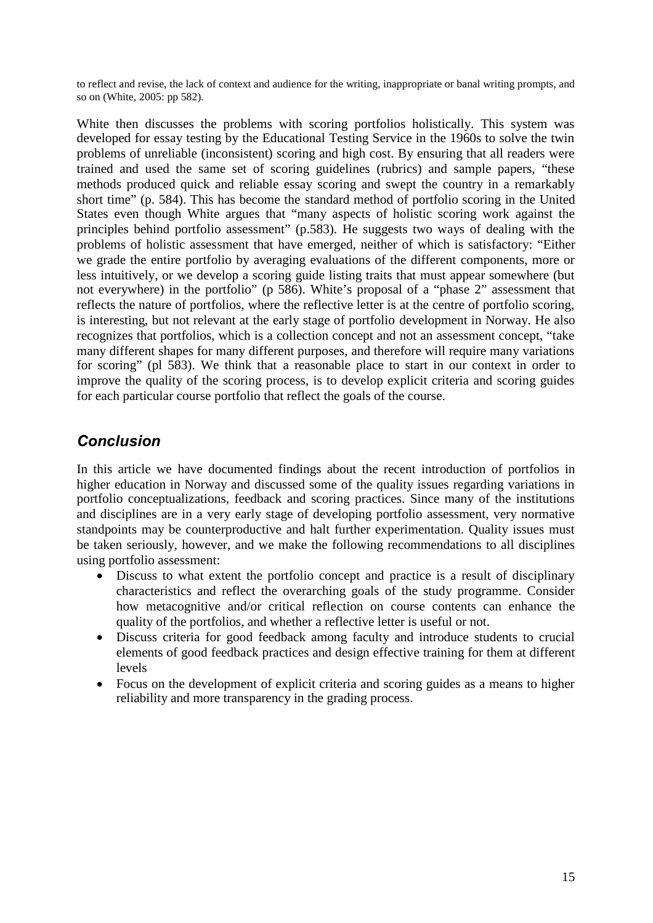to reflect and revise, the lack of context and audience for the writing, inappropriate or banal writing prompts, and so on (White, 2005: pp 582).

White then discusses the problems with scoring portfolios holistically. This system was developed for essay testing by the Educational Testing Service in the 1960s to solve the twin problems of unreliable (inconsistent) scoring and high cost. By ensuring that all readers were trained and used the same set of scoring guidelines (rubrics) and sample papers, "these methods produced quick and reliable essay scoring and swept the country in a remarkably short time" (p. 584). This has become the standard method of portfolio scoring in the United States even though White argues that "many aspects of holistic scoring work against the principles behind portfolio assessment" (p.583). He suggests two ways of dealing with the problems of holistic assessment that have emerged, neither of which is satisfactory: "Either we grade the entire portfolio by averaging evaluations of the different components, more or less intuitively, or we develop a scoring guide listing traits that must appear somewhere (but not everywhere) in the portfolio" (p 586). White's proposal of a "phase 2" assessment that reflects the nature of portfolios, where the reflective letter is at the centre of portfolio scoring, is interesting, but not relevant at the early stage of portfolio development in Norway. He also recognizes that portfolios, which is a collection concept and not an assessment concept, "take many different shapes for many different purposes, and therefore will require many variations for scoring" (pl 583). We think that a reasonable place to start in our context in order to improve the quality of the scoring process, is to develop explicit criteria and scoring guides for each particular course portfolio that reflect the goals of the course.

# *Conclusion*

In this article we have documented findings about the recent introduction of portfolios in higher education in Norway and discussed some of the quality issues regarding variations in portfolio conceptualizations, feedback and scoring practices. Since many of the institutions and disciplines are in a very early stage of developing portfolio assessment, very normative standpoints may be counterproductive and halt further experimentation. Quality issues must be taken seriously, however, and we make the following recommendations to all disciplines using portfolio assessment:

- Discuss to what extent the portfolio concept and practice is a result of disciplinary characteristics and reflect the overarching goals of the study programme. Consider how metacognitive and/or critical reflection on course contents can enhance the quality of the portfolios, and whether a reflective letter is useful or not.
- Discuss criteria for good feedback among faculty and introduce students to crucial elements of good feedback practices and design effective training for them at different levels
- Focus on the development of explicit criteria and scoring guides as a means to higher reliability and more transparency in the grading process.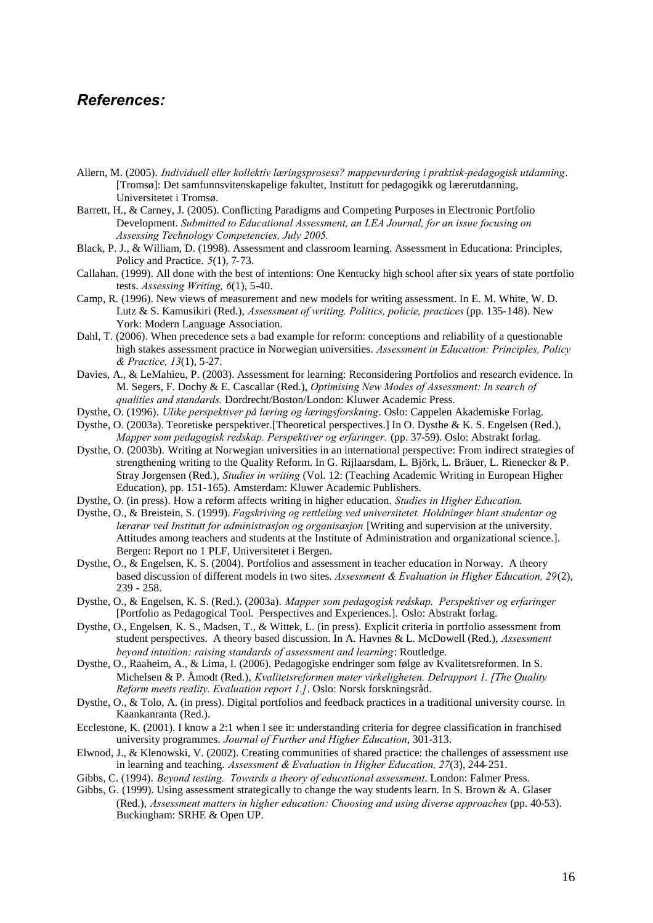## *References:*

- Allern, M. (2005). *Individuell eller kollektiv læringsprosess? mappevurdering i praktisk-pedagogisk utdanning*. [Tromsø]: Det samfunnsvitenskapelige fakultet, Institutt for pedagogikk og lærerutdanning, Universitetet i Tromsø.
- Barrett, H., & Carney, J. (2005). Conflicting Paradigms and Competing Purposes in Electronic Portfolio Development. *Submitted to Educational Assessment, an LEA Journal, for an issue focusing on Assessing Technology Competencies, July 2005.*
- Black, P. J., & William, D. (1998). Assessment and classroom learning. Assessment in Educationa: Principles, Policy and Practice. *5*(1), 7-73.
- Callahan. (1999). All done with the best of intentions: One Kentucky high school after six years of state portfolio tests. *Assessing Writing, 6*(1), 5-40.
- Camp, R. (1996). New views of measurement and new models for writing assessment. In E. M. White, W. D. Lutz & S. Kamusikiri (Red.), *Assessment of writing. Politics, policie, practices* (pp. 135-148). New York: Modern Language Association.
- Dahl, T. (2006). When precedence sets a bad example for reform: conceptions and reliability of a questionable high stakes assessment practice in Norwegian universities. *Assessment in Education: Principles, Policy & Practice, 13*(1), 5-27.
- Davies, A., & LeMahieu, P. (2003). Assessment for learning: Reconsidering Portfolios and research evidence. In M. Segers, F. Dochy & E. Cascallar (Red.), *Optimising New Modes of Assessment: In search of qualities and standards.* Dordrecht/Boston/London: Kluwer Academic Press.
- Dysthe, O. (1996). *Ulike perspektiver på læring og læringsforskning*. Oslo: Cappelen Akademiske Forlag.
- Dysthe, O. (2003a). Teoretiske perspektiver.[Theoretical perspectives.] In O. Dysthe & K. S. Engelsen (Red.), *Mapper som pedagogisk redskap. Perspektiver og erfaringer.* (pp. 37-59). Oslo: Abstrakt forlag.
- Dysthe, O. (2003b). Writing at Norwegian universities in an international perspective: From indirect strategies of strengthening writing to the Quality Reform. In G. Rijlaarsdam, L. Björk, L. Bräuer, L. Rienecker & P. Stray Jorgensen (Red.), *Studies in writing* (Vol. 12: (Teaching Academic Writing in European Higher Education), pp. 151-165). Amsterdam: Kluwer Academic Publishers.
- Dysthe, O. (in press). How a reform affects writing in higher education. *Studies in Higher Education*.
- Dysthe, O., & Breistein, S. (1999). *Fagskriving og rettleiing ved universitetet. Holdninger blant studentar og lærarar ved Institutt for administrasjon og organisasjon* [Writing and supervision at the university. Attitudes among teachers and students at the Institute of Administration and organizational science.]. Bergen: Report no 1 PLF, Universitetet i Bergen.
- Dysthe, O., & Engelsen, K. S. (2004). Portfolios and assessment in teacher education in Norway. A theory based discussion of different models in two sites. *Assessment & Evaluation in Higher Education, 29*(2), 239 - 258.
- Dysthe, O., & Engelsen, K. S. (Red.). (2003a). *Mapper som pedagogisk redskap. Perspektiver og erfaringer* [Portfolio as Pedagogical Tool. Perspectives and Experiences.]. Oslo: Abstrakt forlag.
- Dysthe, O., Engelsen, K. S., Madsen, T., & Wittek, L. (in press). Explicit criteria in portfolio assessment from student perspectives. A theory based discussion. In A. Havnes & L. McDowell (Red.), *Assessment beyond intuition: raising standards of assessment and learning*: Routledge.
- Dysthe, O., Raaheim, A., & Lima, I. (2006). Pedagogiske endringer som følge av Kvalitetsreformen. In S. Michelsen & P. Åmodt (Red.), *Kvalitetsreformen møter virkeligheten. Delrapport 1. [The Quality Reform meets reality. Evaluation report 1.]*. Oslo: Norsk forskningsråd.
- Dysthe, O., & Tolo, A. (in press). Digital portfolios and feedback practices in a traditional university course. In Kaankanranta (Red.).
- Ecclestone, K. (2001). I know a 2:1 when I see it: understanding criteria for degree classification in franchised university programmes. *Journal of Further and Higher Education*, 301-313.
- Elwood, J., & Klenowski, V. (2002). Creating communities of shared practice: the challenges of assessment use in learning and teaching. *Assessment & Evaluation in Higher Education, 27*(3), 244-251.
- Gibbs, C. (1994). *Beyond testing. Towards a theory of educational assessment*. London: Falmer Press.
- Gibbs, G. (1999). Using assessment strategically to change the way students learn. In S. Brown & A. Glaser (Red.), *Assessment matters in higher education: Choosing and using diverse approaches* (pp. 40-53). Buckingham: SRHE & Open UP.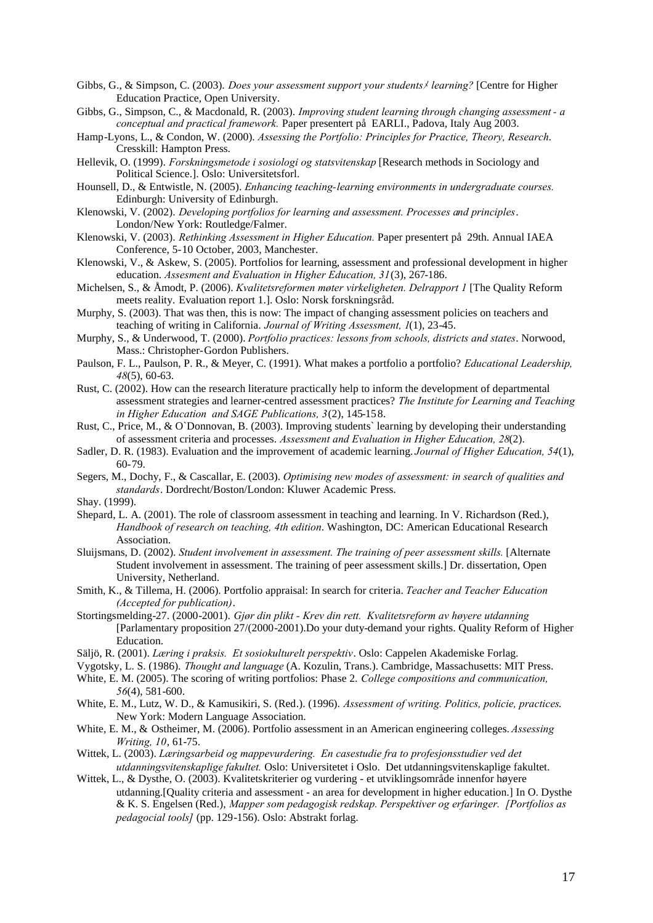- Gibbs, G., & Simpson, C. (2003). *Does your assessment support your students*メ*learning?* [Centre for Higher Education Practice, Open University.
- Gibbs, G., Simpson, C., & Macdonald, R. (2003). *Improving student learning through changing assessment - a conceptual and practical framework.* Paper presentert på EARLI., Padova, Italy Aug 2003.
- Hamp-Lyons, L., & Condon, W. (2000). *Assessing the Portfolio: Principles for Practice, Theory, Research*. Cresskill: Hampton Press.
- Hellevik, O. (1999). *Forskningsmetode i sosiologi og statsvitenskap* [Research methods in Sociology and Political Science.]. Oslo: Universitetsforl.
- Hounsell, D., & Entwistle, N. (2005). *Enhancing teaching-learning environments in undergraduate courses.* Edinburgh: University of Edinburgh.
- Klenowski, V. (2002). *Developing portfolios for learning and assessment. Processes and principles*. London/New York: Routledge/Falmer.
- Klenowski, V. (2003). *Rethinking Assessment in Higher Education.* Paper presentert på 29th. Annual IAEA Conference, 5-10 October, 2003, Manchester.
- Klenowski, V., & Askew, S. (2005). Portfolios for learning, assessment and professional development in higher education. *Assesment and Evaluation in Higher Education, 31*(3), 267-186.
- Michelsen, S., & Åmodt, P. (2006). *Kvalitetsreformen møter virkeligheten. Delrapport 1* [The Quality Reform meets reality. Evaluation report 1.]. Oslo: Norsk forskningsråd.
- Murphy, S. (2003). That was then, this is now: The impact of changing assessment policies on teachers and teaching of writing in California. *Journal of Writing Assessment, 1*(1), 23-45.
- Murphy, S., & Underwood, T. (2000). *Portfolio practices: lessons from schools, districts and states*. Norwood, Mass.: Christopher-Gordon Publishers.
- Paulson, F. L., Paulson, P. R., & Meyer, C. (1991). What makes a portfolio a portfolio? *Educational Leadership, 48*(5), 60-63.
- Rust, C. (2002). How can the research literature practically help to inform the development of departmental assessment strategies and learner-centred assessment practices? *The Institute for Learning and Teaching in Higher Education and SAGE Publications, 3*(2), 145-158.
- Rust, C., Price, M., & O`Donnovan, B. (2003). Improving students` learning by developing their understanding of assessment criteria and processes. *Assessment and Evaluation in Higher Education, 28*(2).
- Sadler, D. R. (1983). Evaluation and the improvement of academic learning. *Journal of Higher Education, 54*(1), 60-79.
- Segers, M., Dochy, F., & Cascallar, E. (2003). *Optimising new modes of assessment: in search of qualities and standards*. Dordrecht/Boston/London: Kluwer Academic Press.

Shay. (1999).

- Shepard, L. A. (2001). The role of classroom assessment in teaching and learning. In V. Richardson (Red.), *Handbook of research on teaching, 4th edition*. Washington, DC: American Educational Research Association.
- Sluijsmans, D. (2002). *Student involvement in assessment. The training of peer assessment skills.* [Alternate Student involvement in assessment. The training of peer assessment skills.] Dr. dissertation, Open University, Netherland.
- Smith, K., & Tillema, H. (2006). Portfolio appraisal: In search for criteria. *Teacher and Teacher Education (Accepted for publication)*.
- Stortingsmelding-27. (2000-2001). *Gjør din plikt - Krev din rett. Kvalitetsreform av høyere utdanning* [Parlamentary proposition 27/(2000-2001).Do your duty-demand your rights. Quality Reform of Higher Education.
- Säljö, R. (2001). *Læring i praksis. Et sosiokulturelt perspektiv*. Oslo: Cappelen Akademiske Forlag.
- Vygotsky, L. S. (1986). *Thought and language* (A. Kozulin, Trans.). Cambridge, Massachusetts: MIT Press.
- White, E. M. (2005). The scoring of writing portfolios: Phase 2. *College compositions and communication, 56*(4), 581-600.
- White, E. M., Lutz, W. D., & Kamusikiri, S. (Red.). (1996). *Assessment of writing. Politics, policie, practices*. New York: Modern Language Association.
- White, E. M., & Ostheimer, M. (2006). Portfolio assessment in an American engineering colleges. *Assessing Writing, 10*, 61-75.
- Wittek, L. (2003). *Læringsarbeid og mappevurdering. En casestudie fra to profesjonsstudier ved det utdanningsvitenskaplige fakultet.* Oslo: Universitetet i Oslo. Det utdanningsvitenskaplige fakultet.
- Wittek, L., & Dysthe, O. (2003). Kvalitetskriterier og vurdering et utviklingsområde innenfor høyere utdanning.[Quality criteria and assessment - an area for development in higher education.] In O. Dysthe & K. S. Engelsen (Red.), *Mapper som pedagogisk redskap. Perspektiver og erfaringer. [Portfolios as pedagocial tools]* (pp. 129-156). Oslo: Abstrakt forlag.